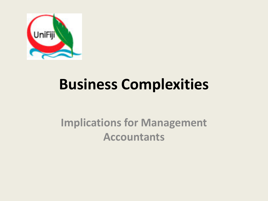

## **Business Complexities**

#### **Implications for Management Accountants**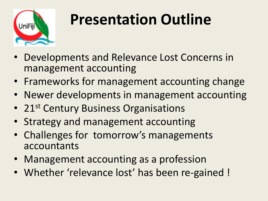

# **Presentation Outline**

- Developments and Relevance Lost Concerns in management accounting
- Frameworks for management accounting change
- Newer developments in management accounting
- 21<sup>st</sup> Century Business Organisations
- Strategy and management accounting
- Challenges for tomorrow's managements accountants
- Management accounting as a profession
- Whether 'relevance lost' has been re-gained !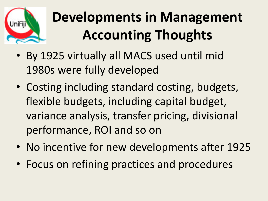

## **Developments in Management Accounting Thoughts**

- By 1925 virtually all MACS used until mid 1980s were fully developed
- Costing including standard costing, budgets, flexible budgets, including capital budget, variance analysis, transfer pricing, divisional performance, ROI and so on
- No incentive for new developments after 1925
- Focus on refining practices and procedures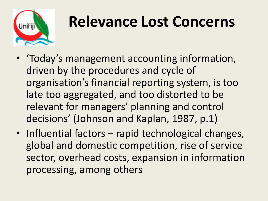

### **Relevance Lost Concerns**

- 'Today's management accounting information, driven by the procedures and cycle of organisation's financial reporting system, is too late too aggregated, and too distorted to be relevant for managers' planning and control decisions' (Johnson and Kaplan, 1987, p.1)
- Influential factors rapid technological changes, global and domestic competition, rise of service sector, overhead costs, expansion in information processing, among others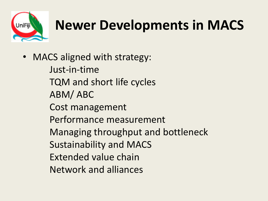

### **Newer Developments in MACS**

- MACS aligned with strategy:
	- Just-in-time TQM and short life cycles ABM/ ABC Cost management Performance measurement Managing throughput and bottleneck Sustainability and MACS Extended value chain Network and alliances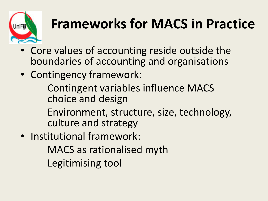

### **Frameworks for MACS in Practice**

- Core values of accounting reside outside the boundaries of accounting and organisations
- Contingency framework:
	- Contingent variables influence MACS choice and design
	- Environment, structure, size, technology, culture and strategy
- Institutional framework:
	- MACS as rationalised myth
	- Legitimising tool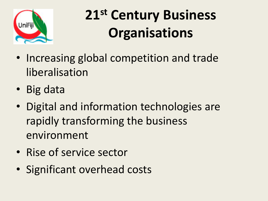

## **21st Century Business Organisations**

- Increasing global competition and trade liberalisation
- Big data
- Digital and information technologies are rapidly transforming the business environment
- Rise of service sector
- Significant overhead costs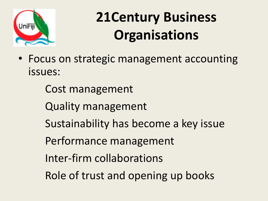

## **21Century Business Organisations**

- Focus on strategic management accounting issues:
	- Cost management
	- Quality management
	- Sustainability has become a key issue
	- Performance management
	- Inter-firm collaborations
	- Role of trust and opening up books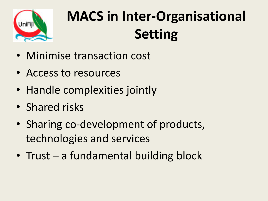

# **MACS in Inter-Organisational Setting**

- Minimise transaction cost
- Access to resources
- Handle complexities jointly
- Shared risks
- Sharing co-development of products, technologies and services
- Trust a fundamental building block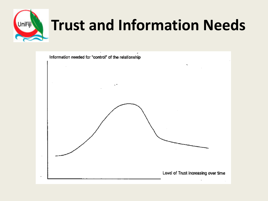

# **Trust and Information Needs**

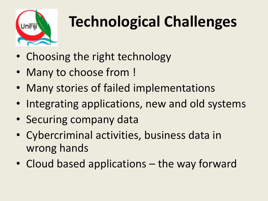

# **Technological Challenges**

- Choosing the right technology
- Many to choose from !
- Many stories of failed implementations
- Integrating applications, new and old systems
- Securing company data
- Cybercriminal activities, business data in wrong hands
- Cloud based applications the way forward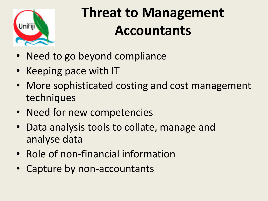

#### **Threat to Management Accountants**

- Need to go beyond compliance
- Keeping pace with IT
- More sophisticated costing and cost management techniques
- Need for new competencies
- Data analysis tools to collate, manage and analyse data
- Role of non-financial information
- Capture by non-accountants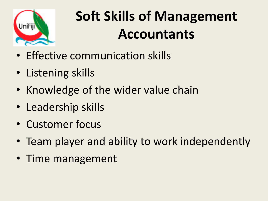

## **Soft Skills of Management Accountants**

- Effective communication skills
- Listening skills
- Knowledge of the wider value chain
- Leadership skills
- Customer focus
- Team player and ability to work independently
- Time management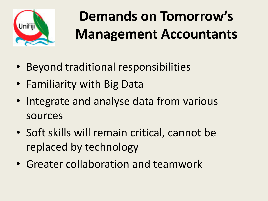

# **Demands on Tomorrow's Management Accountants**

- Beyond traditional responsibilities
- Familiarity with Big Data
- Integrate and analyse data from various sources
- Soft skills will remain critical, cannot be replaced by technology
- Greater collaboration and teamwork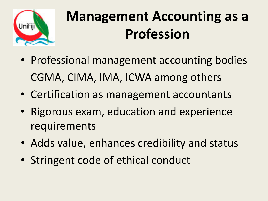

### **Management Accounting as a Profession**

- Professional management accounting bodies CGMA, CIMA, IMA, ICWA among others
- Certification as management accountants
- Rigorous exam, education and experience requirements
- Adds value, enhances credibility and status
- Stringent code of ethical conduct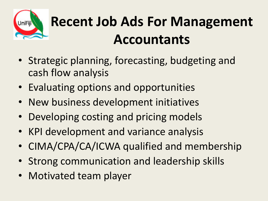

## **Recent Job Ads For Management Accountants**

- Strategic planning, forecasting, budgeting and cash flow analysis
- Evaluating options and opportunities
- New business development initiatives
- Developing costing and pricing models
- KPI development and variance analysis
- CIMA/CPA/CA/ICWA qualified and membership
- Strong communication and leadership skills
- Motivated team player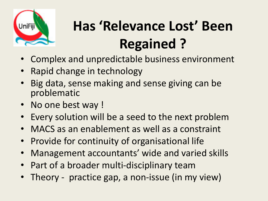

# **Has 'Relevance Lost' Been Regained ?**

- Complex and unpredictable business environment
- Rapid change in technology
- Big data, sense making and sense giving can be problematic
- No one best way !
- Every solution will be a seed to the next problem
- MACS as an enablement as well as a constraint
- Provide for continuity of organisational life
- Management accountants' wide and varied skills
- Part of a broader multi-disciplinary team
- Theory practice gap, a non-issue (in my view)